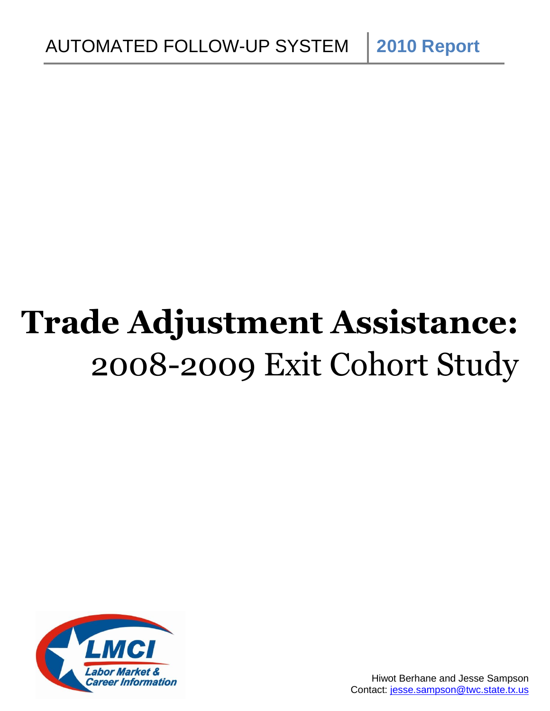# **Trade Adjustment Assistance:** 2008-2009 Exit Cohort Study

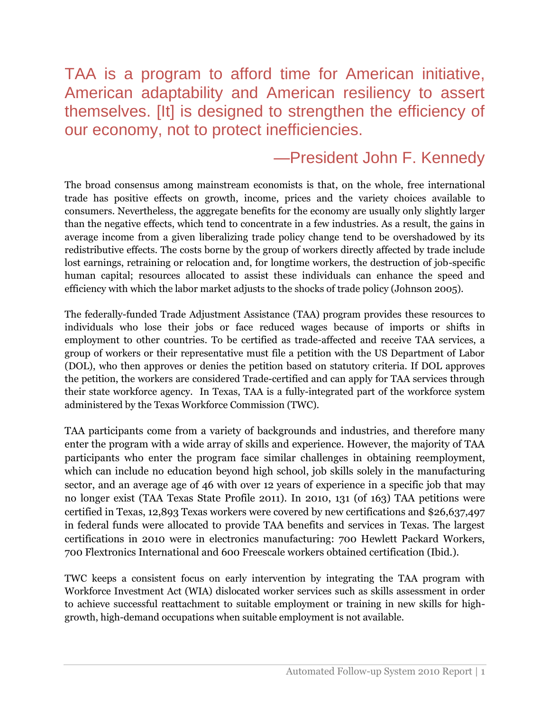# TAA is a program to afford time for American initiative, American adaptability and American resiliency to assert themselves. [It] is designed to strengthen the efficiency of our economy, not to protect inefficiencies.

# —President John F. Kennedy

The broad consensus among mainstream economists is that, on the whole, free international trade has positive effects on growth, income, prices and the variety choices available to consumers. Nevertheless, the aggregate benefits for the economy are usually only slightly larger than the negative effects, which tend to concentrate in a few industries. As a result, the gains in average income from a given liberalizing trade policy change tend to be overshadowed by its redistributive effects. The costs borne by the group of workers directly affected by trade include lost earnings, retraining or relocation and, for longtime workers, the destruction of job-specific human capital; resources allocated to assist these individuals can enhance the speed and efficiency with which the labor market adjusts to the shocks of trade policy (Johnson 2005).

The federally-funded Trade Adjustment Assistance (TAA) program provides these resources to individuals who lose their jobs or face reduced wages because of imports or shifts in employment to other countries. To be certified as trade-affected and receive TAA services, a group of workers or their representative must file a petition with the US Department of Labor (DOL), who then approves or denies the petition based on statutory criteria. If DOL approves the petition, the workers are considered Trade-certified and can apply for TAA services through their state workforce agency. In Texas, TAA is a fully-integrated part of the workforce system administered by the Texas Workforce Commission (TWC).

TAA participants come from a variety of backgrounds and industries, and therefore many enter the program with a wide array of skills and experience. However, the majority of TAA participants who enter the program face similar challenges in obtaining reemployment, which can include no education beyond high school, job skills solely in the manufacturing sector, and an average age of 46 with over 12 years of experience in a specific job that may no longer exist (TAA Texas State Profile 2011). In 2010, 131 (of 163) TAA petitions were certified in Texas, 12,893 Texas workers were covered by new certifications and \$26,637,497 in federal funds were allocated to provide TAA benefits and services in Texas. The largest certifications in 2010 were in electronics manufacturing: 700 Hewlett Packard Workers, 700 Flextronics International and 600 Freescale workers obtained certification (Ibid.).

TWC keeps a consistent focus on early intervention by integrating the TAA program with Workforce Investment Act (WIA) dislocated worker services such as skills assessment in order to achieve successful reattachment to suitable employment or training in new skills for highgrowth, high-demand occupations when suitable employment is not available.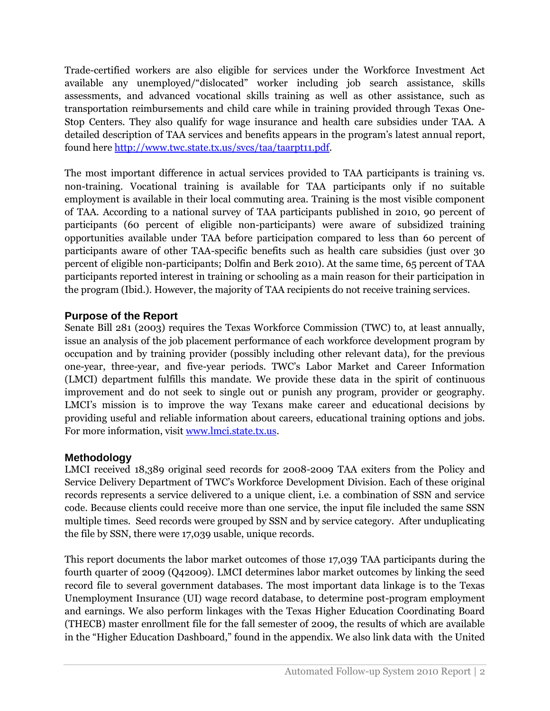Trade-certified workers are also eligible for services under the Workforce Investment Act available any unemployed/"dislocated" worker including job search assistance, skills assessments, and advanced vocational skills training as well as other assistance, such as transportation reimbursements and child care while in training provided through Texas One-Stop Centers. They also qualify for wage insurance and health care subsidies under TAA. A detailed description of TAA services and benefits appears in the program's latest annual report, found here [http://www.twc.state.tx.us/svcs/taa/taarpt11.pdf.](http://www.twc.state.tx.us/svcs/taa/taarpt11.pdf)

The most important difference in actual services provided to TAA participants is training vs. non-training. Vocational training is available for TAA participants only if no suitable employment is available in their local commuting area. Training is the most visible component of TAA. According to a national survey of TAA participants published in 2010, 90 percent of participants (60 percent of eligible non-participants) were aware of subsidized training opportunities available under TAA before participation compared to less than 60 percent of participants aware of other TAA-specific benefits such as health care subsidies (just over 30 percent of eligible non-participants; Dolfin and Berk 2010). At the same time, 65 percent of TAA participants reported interest in training or schooling as a main reason for their participation in the program (Ibid.). However, the majority of TAA recipients do not receive training services.

#### **Purpose of the Report**

Senate Bill 281 (2003) requires the Texas Workforce Commission (TWC) to, at least annually, issue an analysis of the job placement performance of each workforce development program by occupation and by training provider (possibly including other relevant data), for the previous one-year, three-year, and five-year periods. TWC's Labor Market and Career Information (LMCI) department fulfills this mandate. We provide these data in the spirit of continuous improvement and do not seek to single out or punish any program, provider or geography. LMCI's mission is to improve the way Texans make career and educational decisions by providing useful and reliable information about careers, educational training options and jobs. For more information, visit [www.lmci.state.tx.us.](http://www.lmci.state.tx.us/)

## **Methodology**

LMCI received 18,389 original seed records for 2008-2009 TAA exiters from the Policy and Service Delivery Department of TWC's Workforce Development Division. Each of these original records represents a service delivered to a unique client, i.e. a combination of SSN and service code. Because clients could receive more than one service, the input file included the same SSN multiple times. Seed records were grouped by SSN and by service category. After unduplicating the file by SSN, there were 17,039 usable, unique records.

This report documents the labor market outcomes of those 17,039 TAA participants during the fourth quarter of 2009 (Q42009). LMCI determines labor market outcomes by linking the seed record file to several government databases. The most important data linkage is to the Texas Unemployment Insurance (UI) wage record database, to determine post-program employment and earnings. We also perform linkages with the Texas Higher Education Coordinating Board (THECB) master enrollment file for the fall semester of 2009, the results of which are available in the "Higher Education Dashboard," found in the appendix. We also link data with the United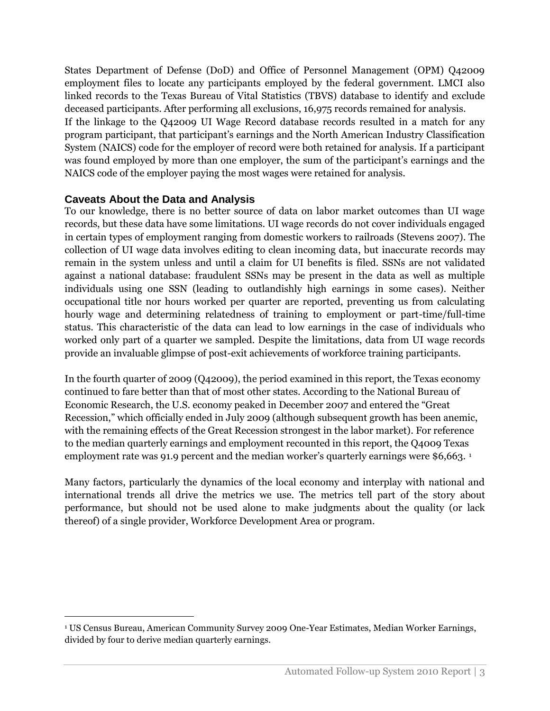States Department of Defense (DoD) and Office of Personnel Management (OPM) Q42009 employment files to locate any participants employed by the federal government. LMCI also linked records to the Texas Bureau of Vital Statistics (TBVS) database to identify and exclude deceased participants. After performing all exclusions, 16,975 records remained for analysis. If the linkage to the Q42009 UI Wage Record database records resulted in a match for any program participant, that participant's earnings and the North American Industry Classification System (NAICS) code for the employer of record were both retained for analysis. If a participant was found employed by more than one employer, the sum of the participant's earnings and the NAICS code of the employer paying the most wages were retained for analysis.

#### **Caveats About the Data and Analysis**

 $\overline{a}$ 

To our knowledge, there is no better source of data on labor market outcomes than UI wage records, but these data have some limitations. UI wage records do not cover individuals engaged in certain types of employment ranging from domestic workers to railroads (Stevens 2007). The collection of UI wage data involves editing to clean incoming data, but inaccurate records may remain in the system unless and until a claim for UI benefits is filed. SSNs are not validated against a national database: fraudulent SSNs may be present in the data as well as multiple individuals using one SSN (leading to outlandishly high earnings in some cases). Neither occupational title nor hours worked per quarter are reported, preventing us from calculating hourly wage and determining relatedness of training to employment or part-time/full-time status. This characteristic of the data can lead to low earnings in the case of individuals who worked only part of a quarter we sampled. Despite the limitations, data from UI wage records provide an invaluable glimpse of post-exit achievements of workforce training participants.

In the fourth quarter of 2009 (Q42009), the period examined in this report, the Texas economy continued to fare better than that of most other states. According to the National Bureau of Economic Research, the U.S. economy peaked in December 2007 and entered the "Great Recession," which officially ended in July 2009 (although subsequent growth has been anemic, with the remaining effects of the Great Recession strongest in the labor market). For reference to the median quarterly earnings and employment recounted in this report, the Q4009 Texas employment rate was 91.9 percent and the median worker's quarterly earnings were \$6,663. <sup>1</sup>

Many factors, particularly the dynamics of the local economy and interplay with national and international trends all drive the metrics we use. The metrics tell part of the story about performance, but should not be used alone to make judgments about the quality (or lack thereof) of a single provider, Workforce Development Area or program.

<sup>1</sup> US Census Bureau, American Community Survey 2009 One-Year Estimates, Median Worker Earnings, divided by four to derive median quarterly earnings.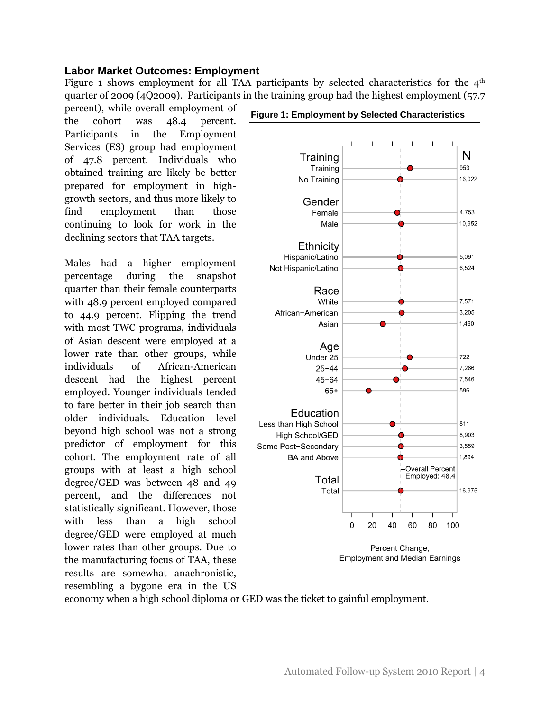#### **Labor Market Outcomes: Employment**

Figure 1 shows employment for all TAA participants by selected characteristics for the  $4<sup>th</sup>$ quarter of 2009 (4Q2009). Participants in the training group had the highest employment (57.7

percent), while overall employment of the cohort was 48.4 percent. Participants in the Employment Services (ES) group had employment of 47.8 percent. Individuals who obtained training are likely be better prepared for employment in highgrowth sectors, and thus more likely to find employment than those continuing to look for work in the declining sectors that TAA targets.

Males had a higher employment percentage during the snapshot quarter than their female counterparts with 48.9 percent employed compared to 44.9 percent. Flipping the trend with most TWC programs, individuals of Asian descent were employed at a lower rate than other groups, while individuals of African-American descent had the highest percent employed. Younger individuals tended to fare better in their job search than older individuals. Education level beyond high school was not a strong predictor of employment for this cohort. The employment rate of all groups with at least a high school degree/GED was between 48 and 49 percent, and the differences not statistically significant. However, those with less than a high school degree/GED were employed at much lower rates than other groups. Due to the manufacturing focus of TAA, these results are somewhat anachronistic, resembling a bygone era in the US

#### **Figure 1: Employment by Selected Characteristics**



economy when a high school diploma or GED was the ticket to gainful employment.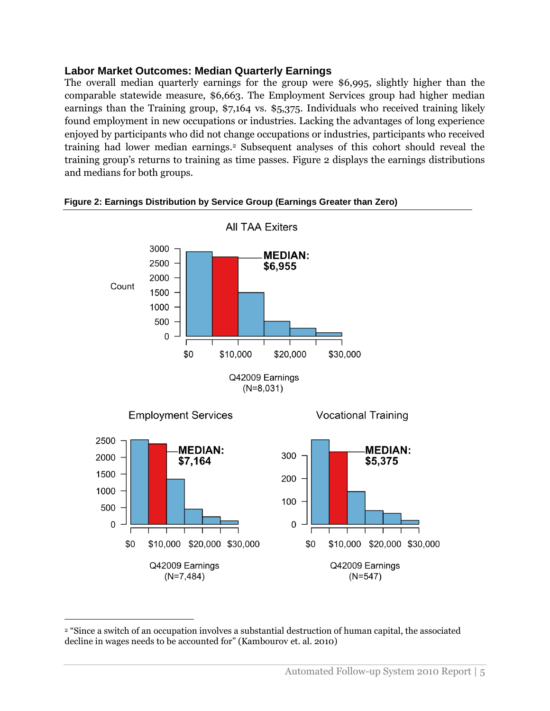#### **Labor Market Outcomes: Median Quarterly Earnings**

The overall median quarterly earnings for the group were \$6,995, slightly higher than the comparable statewide measure, \$6,663. The Employment Services group had higher median earnings than the Training group, \$7,164 vs. \$5,375. Individuals who received training likely found employment in new occupations or industries. Lacking the advantages of long experience enjoyed by participants who did not change occupations or industries, participants who received training had lower median earnings.<sup>2</sup> Subsequent analyses of this cohort should reveal the training group's returns to training as time passes. Figure 2 displays the earnings distributions and medians for both groups.



#### **Figure 2: Earnings Distribution by Service Group (Earnings Greater than Zero)**

 $\overline{a}$ 

<sup>2</sup> "Since a switch of an occupation involves a substantial destruction of human capital, the associated decline in wages needs to be accounted for" (Kambourov et. al. 2010)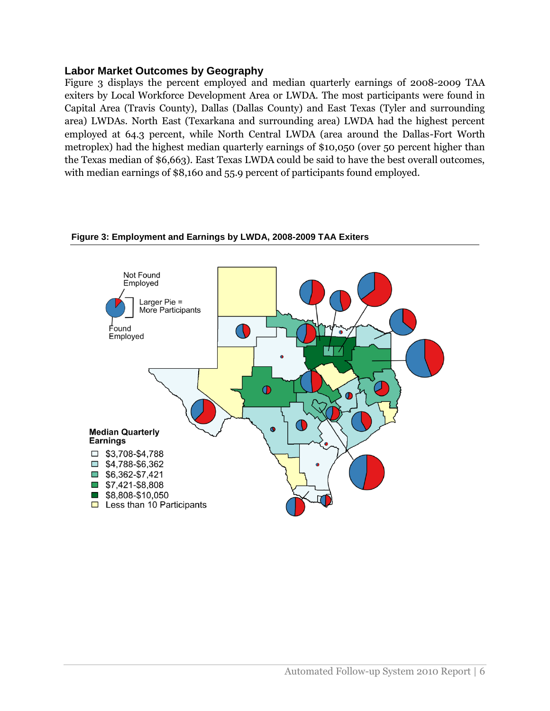#### **Labor Market Outcomes by Geography**

Figure 3 displays the percent employed and median quarterly earnings of 2008-2009 TAA exiters by Local Workforce Development Area or LWDA. The most participants were found in Capital Area (Travis County), Dallas (Dallas County) and East Texas (Tyler and surrounding area) LWDAs. North East (Texarkana and surrounding area) LWDA had the highest percent employed at 64.3 percent, while North Central LWDA (area around the Dallas-Fort Worth metroplex) had the highest median quarterly earnings of \$10,050 (over 50 percent higher than the Texas median of \$6,663). East Texas LWDA could be said to have the best overall outcomes, with median earnings of \$8,160 and 55.9 percent of participants found employed.

#### **Figure 3: Employment and Earnings by LWDA, 2008-2009 TAA Exiters**

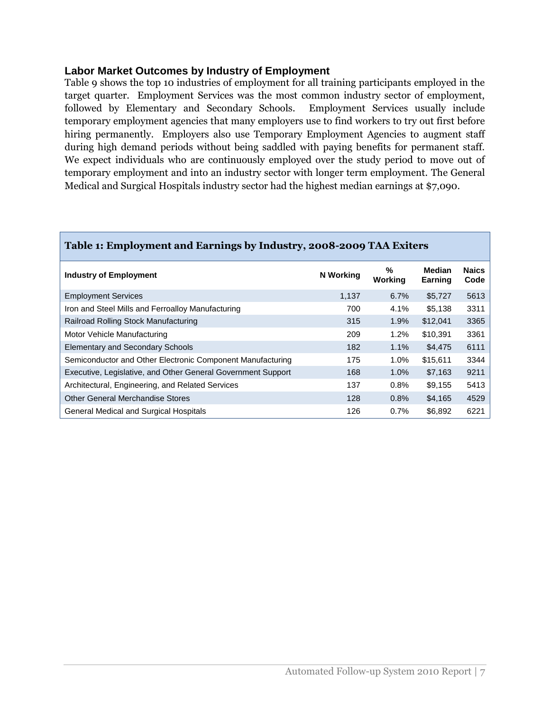#### **Labor Market Outcomes by Industry of Employment**

Table 9 shows the top 10 industries of employment for all training participants employed in the target quarter. Employment Services was the most common industry sector of employment, followed by Elementary and Secondary Schools. Employment Services usually include temporary employment agencies that many employers use to find workers to try out first before hiring permanently. Employers also use Temporary Employment Agencies to augment staff during high demand periods without being saddled with paying benefits for permanent staff. We expect individuals who are continuously employed over the study period to move out of temporary employment and into an industry sector with longer term employment. The General Medical and Surgical Hospitals industry sector had the highest median earnings at \$7,090.

| <b>Industry of Employment</b>                                | N Working | %<br>Working | Median<br>Earning | <b>Naics</b><br>Code |
|--------------------------------------------------------------|-----------|--------------|-------------------|----------------------|
| <b>Employment Services</b>                                   | 1.137     | 6.7%         | \$5,727           | 5613                 |
| Iron and Steel Mills and Ferroalloy Manufacturing            | 700       | $4.1\%$      | \$5,138           | 3311                 |
| Railroad Rolling Stock Manufacturing                         | 315       | 1.9%         | \$12,041          | 3365                 |
| Motor Vehicle Manufacturing                                  | 209       | 1.2%         | \$10.391          | 3361                 |
| Elementary and Secondary Schools                             | 182       | 1.1%         | \$4,475           | 6111                 |
| Semiconductor and Other Electronic Component Manufacturing   | 175       | $1.0\%$      | \$15.611          | 3344                 |
| Executive, Legislative, and Other General Government Support | 168       | $1.0\%$      | \$7.163           | 9211                 |
| Architectural, Engineering, and Related Services             | 137       | 0.8%         | \$9,155           | 5413                 |
| <b>Other General Merchandise Stores</b>                      | 128       | 0.8%         | \$4,165           | 4529                 |
| <b>General Medical and Surgical Hospitals</b>                | 126       | $0.7\%$      | \$6,892           | 6221                 |

#### **Table 1: Employment and Earnings by Industry, 2008-2009 TAA Exiters**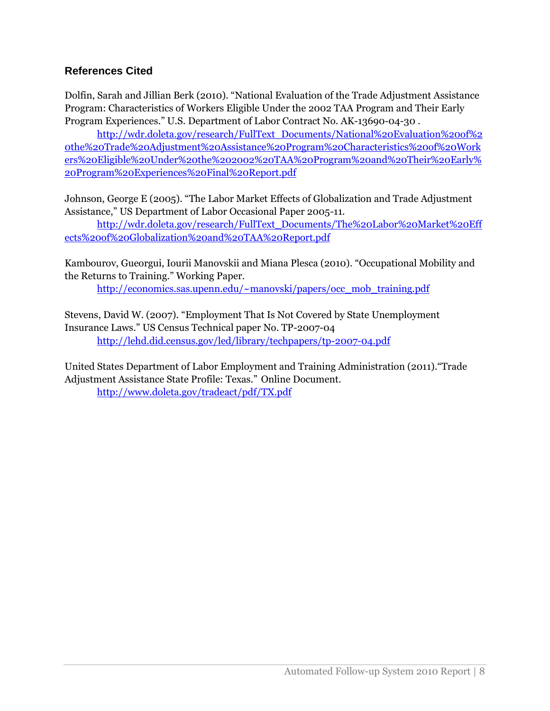### **References Cited**

Dolfin, Sarah and Jillian Berk (2010). "National Evaluation of the Trade Adjustment Assistance Program: Characteristics of Workers Eligible Under the 2002 TAA Program and Their Early Program Experiences." U.S. Department of Labor Contract No. AK-13690-04-30 .

[http://wdr.doleta.gov/research/FullText\\_Documents/National%20Evaluation%20of%2](http://wdr.doleta.gov/research/FullText_Documents/National%20Evaluation%20of%20the%20Trade%20Adjustment%20Assistance%20Program%20Characteristics%20of%20Workers%20Eligible%20Under%20the%202002%20TAA%20Program%20and%20Their%20Early%20Program%20Experiences%20Final%20Report.pdf) [0the%20Trade%20Adjustment%20Assistance%20Program%20Characteristics%20of%20Work](http://wdr.doleta.gov/research/FullText_Documents/National%20Evaluation%20of%20the%20Trade%20Adjustment%20Assistance%20Program%20Characteristics%20of%20Workers%20Eligible%20Under%20the%202002%20TAA%20Program%20and%20Their%20Early%20Program%20Experiences%20Final%20Report.pdf) [ers%20Eligible%20Under%20the%202002%20TAA%20Program%20and%20Their%20Early%](http://wdr.doleta.gov/research/FullText_Documents/National%20Evaluation%20of%20the%20Trade%20Adjustment%20Assistance%20Program%20Characteristics%20of%20Workers%20Eligible%20Under%20the%202002%20TAA%20Program%20and%20Their%20Early%20Program%20Experiences%20Final%20Report.pdf) [20Program%20Experiences%20Final%20Report.pdf](http://wdr.doleta.gov/research/FullText_Documents/National%20Evaluation%20of%20the%20Trade%20Adjustment%20Assistance%20Program%20Characteristics%20of%20Workers%20Eligible%20Under%20the%202002%20TAA%20Program%20and%20Their%20Early%20Program%20Experiences%20Final%20Report.pdf)

Johnson, George E (2005). "The Labor Market Effects of Globalization and Trade Adjustment Assistance," US Department of Labor Occasional Paper 2005-11.

[http://wdr.doleta.gov/research/FullText\\_Documents/The%20Labor%20Market%20Eff](http://wdr.doleta.gov/research/FullText_Documents/The%20Labor%20Market%20Effects%20of%20Globalization%20and%20TAA%20Report.pdf) [ects%20of%20Globalization%20and%20TAA%20Report.pdf](http://wdr.doleta.gov/research/FullText_Documents/The%20Labor%20Market%20Effects%20of%20Globalization%20and%20TAA%20Report.pdf)

Kambourov, Gueorgui, Iourii Manovskii and Miana Plesca (2010). "Occupational Mobility and the Returns to Training." Working Paper.

[http://economics.sas.upenn.edu/~manovski/papers/occ\\_mob\\_training.pdf](http://economics.sas.upenn.edu/~manovski/papers/occ_mob_training.pdf)

Stevens, David W. (2007). "Employment That Is Not Covered by State Unemployment Insurance Laws." US Census Technical paper No. TP-2007-04 <http://lehd.did.census.gov/led/library/techpapers/tp-2007-04.pdf>

United States Department of Labor Employment and Training Administration (2011)."Trade Adjustment Assistance State Profile: Texas." Online Document. <http://www.doleta.gov/tradeact/pdf/TX.pdf>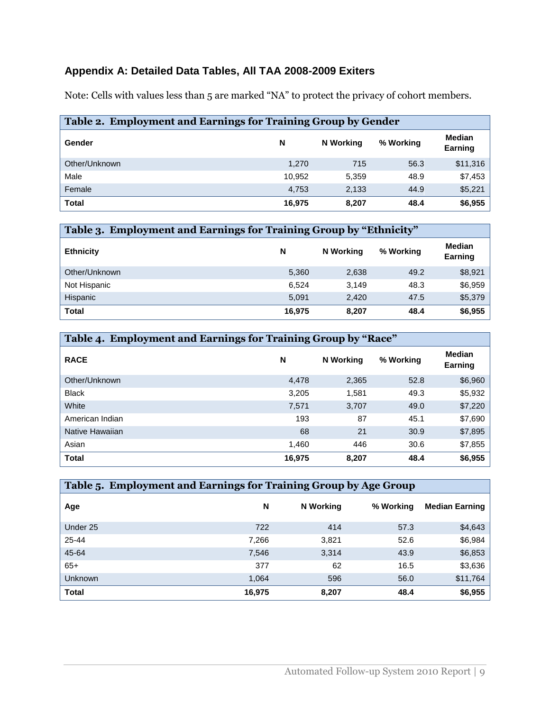## **Appendix A: Detailed Data Tables, All TAA 2008-2009 Exiters**

Note: Cells with values less than 5 are marked "NA" to protect the privacy of cohort members.

| Table 2. Employment and Earnings for Training Group by Gender |        |           |           |                   |  |  |
|---------------------------------------------------------------|--------|-----------|-----------|-------------------|--|--|
| Gender                                                        | N      | N Working | % Working | Median<br>Earning |  |  |
| Other/Unknown                                                 | 1,270  | 715       | 56.3      | \$11,316          |  |  |
| Male                                                          | 10.952 | 5,359     | 48.9      | \$7,453           |  |  |
| Female                                                        | 4.753  | 2,133     | 44.9      | \$5,221           |  |  |
| <b>Total</b>                                                  | 16,975 | 8,207     | 48.4      | \$6,955           |  |  |

| Table 3. Employment and Earnings for Training Group by "Ethnicity" |        |           |           |                   |  |  |
|--------------------------------------------------------------------|--------|-----------|-----------|-------------------|--|--|
| <b>Ethnicity</b>                                                   | N      | N Working | % Working | Median<br>Earning |  |  |
| Other/Unknown                                                      | 5.360  | 2,638     | 49.2      | \$8,921           |  |  |
| Not Hispanic                                                       | 6.524  | 3.149     | 48.3      | \$6,959           |  |  |
| Hispanic                                                           | 5,091  | 2.420     | 47.5      | \$5,379           |  |  |
| <b>Total</b>                                                       | 16.975 | 8.207     | 48.4      | \$6,955           |  |  |

| Table 4. Employment and Earnings for Training Group by "Race" |        |           |           |                                 |  |  |
|---------------------------------------------------------------|--------|-----------|-----------|---------------------------------|--|--|
| <b>RACE</b>                                                   | N      | N Working | % Working | <b>Median</b><br><b>Earning</b> |  |  |
| Other/Unknown                                                 | 4,478  | 2,365     | 52.8      | \$6,960                         |  |  |
| <b>Black</b>                                                  | 3,205  | 1.581     | 49.3      | \$5,932                         |  |  |
| White                                                         | 7,571  | 3,707     | 49.0      | \$7,220                         |  |  |
| American Indian                                               | 193    | 87        | 45.1      | \$7,690                         |  |  |
| Native Hawaiian                                               | 68     | 21        | 30.9      | \$7,895                         |  |  |
| Asian                                                         | 1,460  | 446       | 30.6      | \$7,855                         |  |  |
| <b>Total</b>                                                  | 16,975 | 8,207     | 48.4      | \$6,955                         |  |  |

| Table 5. Employment and Earnings for Training Group by Age Group |        |           |           |                       |  |  |
|------------------------------------------------------------------|--------|-----------|-----------|-----------------------|--|--|
| Age                                                              | N      | N Working | % Working | <b>Median Earning</b> |  |  |
| Under 25                                                         | 722    | 414       | 57.3      | \$4,643               |  |  |
| 25-44                                                            | 7.266  | 3,821     | 52.6      | \$6,984               |  |  |
| 45-64                                                            | 7,546  | 3,314     | 43.9      | \$6,853               |  |  |
| $65+$                                                            | 377    | 62        | 16.5      | \$3,636               |  |  |
| <b>Unknown</b>                                                   | 1.064  | 596       | 56.0      | \$11,764              |  |  |
| <b>Total</b>                                                     | 16,975 | 8,207     | 48.4      | \$6,955               |  |  |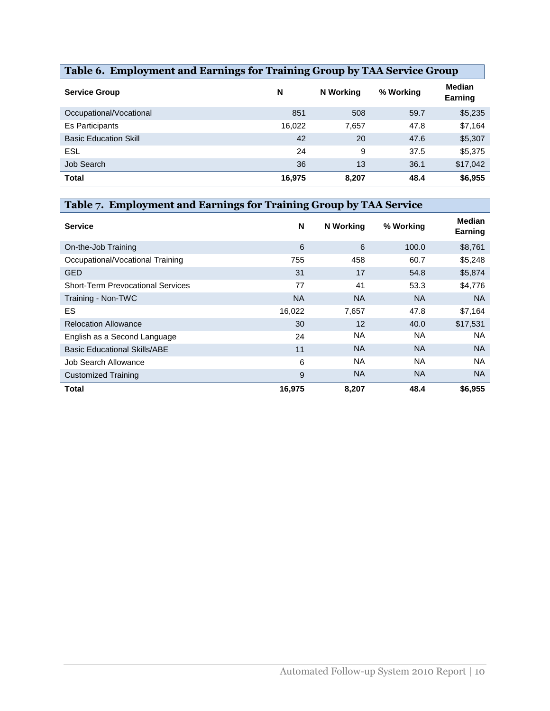| Table 6. Employment and Earnings for Training Group by TAA Service Group |        |           |           |                          |  |  |
|--------------------------------------------------------------------------|--------|-----------|-----------|--------------------------|--|--|
| <b>Service Group</b>                                                     | N      | N Working | % Working | <b>Median</b><br>Earning |  |  |
| Occupational/Vocational                                                  | 851    | 508       | 59.7      | \$5,235                  |  |  |
| Es Participants                                                          | 16,022 | 7.657     | 47.8      | \$7,164                  |  |  |
| <b>Basic Education Skill</b>                                             | 42     | 20        | 47.6      | \$5,307                  |  |  |
| ESL                                                                      | 24     | 9         | 37.5      | \$5,375                  |  |  |
| Job Search                                                               | 36     | 13        | 36.1      | \$17,042                 |  |  |
| <b>Total</b>                                                             | 16,975 | 8,207     | 48.4      | \$6,955                  |  |  |

| Table 7. Employment and Earnings for Training Group by TAA Service |           |           |           |                          |  |  |
|--------------------------------------------------------------------|-----------|-----------|-----------|--------------------------|--|--|
| <b>Service</b>                                                     | N         | N Working | % Working | <b>Median</b><br>Earning |  |  |
| On-the-Job Training                                                | 6         | 6         | 100.0     | \$8,761                  |  |  |
| Occupational/Vocational Training                                   | 755       | 458       | 60.7      | \$5,248                  |  |  |
| <b>GED</b>                                                         | 31        | 17        | 54.8      | \$5,874                  |  |  |
| <b>Short-Term Prevocational Services</b>                           | 77        | 41        | 53.3      | \$4,776                  |  |  |
| Training - Non-TWC                                                 | <b>NA</b> | <b>NA</b> | <b>NA</b> | <b>NA</b>                |  |  |
| ES.                                                                | 16,022    | 7,657     | 47.8      | \$7,164                  |  |  |
| <b>Relocation Allowance</b>                                        | 30        | 12        | 40.0      | \$17,531                 |  |  |
| English as a Second Language                                       | 24        | <b>NA</b> | <b>NA</b> | <b>NA</b>                |  |  |
| <b>Basic Educational Skills/ABE</b>                                | 11        | <b>NA</b> | <b>NA</b> | <b>NA</b>                |  |  |
| Job Search Allowance                                               | 6         | <b>NA</b> | <b>NA</b> | <b>NA</b>                |  |  |
| <b>Customized Training</b>                                         | 9         | <b>NA</b> | <b>NA</b> | <b>NA</b>                |  |  |
| Total                                                              | 16,975    | 8,207     | 48.4      | \$6,955                  |  |  |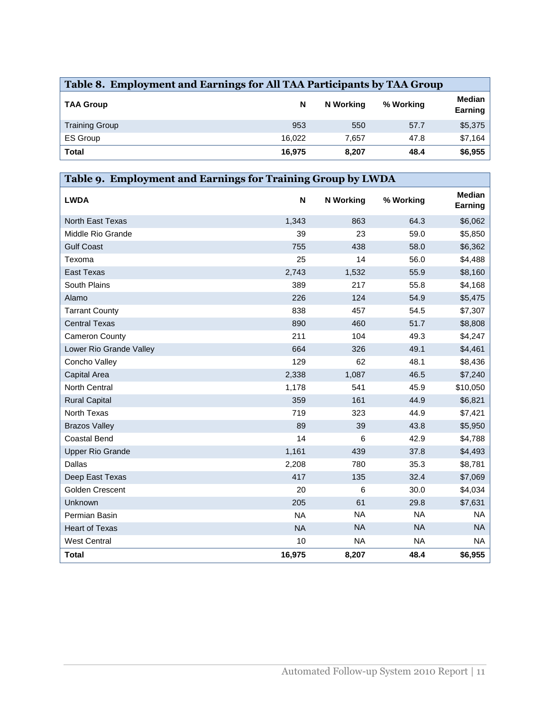| Table 8. Employment and Earnings for All TAA Participants by TAA Group |        |           |           |                          |  |
|------------------------------------------------------------------------|--------|-----------|-----------|--------------------------|--|
| <b>TAA Group</b>                                                       | N      | N Working | % Working | <b>Median</b><br>Earning |  |
| <b>Training Group</b>                                                  | 953    | 550       | 57.7      | \$5,375                  |  |
| <b>ES Group</b>                                                        | 16.022 | 7.657     | 47.8      | \$7,164                  |  |
| Total                                                                  | 16,975 | 8,207     | 48.4      | \$6,955                  |  |

| Table 9. Employment and Earnings for Training Group by LWDA |           |                  |           |                          |  |  |
|-------------------------------------------------------------|-----------|------------------|-----------|--------------------------|--|--|
| <b>LWDA</b>                                                 | N         | <b>N</b> Working | % Working | <b>Median</b><br>Earning |  |  |
| <b>North East Texas</b>                                     | 1,343     | 863              | 64.3      | \$6,062                  |  |  |
| Middle Rio Grande                                           | 39        | 23               | 59.0      | \$5,850                  |  |  |
| <b>Gulf Coast</b>                                           | 755       | 438              | 58.0      | \$6,362                  |  |  |
| Texoma                                                      | 25        | 14               | 56.0      | \$4,488                  |  |  |
| <b>East Texas</b>                                           | 2,743     | 1,532            | 55.9      | \$8,160                  |  |  |
| South Plains                                                | 389       | 217              | 55.8      | \$4,168                  |  |  |
| Alamo                                                       | 226       | 124              | 54.9      | \$5,475                  |  |  |
| <b>Tarrant County</b>                                       | 838       | 457              | 54.5      | \$7,307                  |  |  |
| <b>Central Texas</b>                                        | 890       | 460              | 51.7      | \$8,808                  |  |  |
| Cameron County                                              | 211       | 104              | 49.3      | \$4,247                  |  |  |
| Lower Rio Grande Valley                                     | 664       | 326              | 49.1      | \$4,461                  |  |  |
| Concho Valley                                               | 129       | 62               | 48.1      | \$8,436                  |  |  |
| Capital Area                                                | 2,338     | 1,087            | 46.5      | \$7,240                  |  |  |
| <b>North Central</b>                                        | 1,178     | 541              | 45.9      | \$10,050                 |  |  |
| <b>Rural Capital</b>                                        | 359       | 161              | 44.9      | \$6,821                  |  |  |
| North Texas                                                 | 719       | 323              | 44.9      | \$7,421                  |  |  |
| <b>Brazos Valley</b>                                        | 89        | 39               | 43.8      | \$5,950                  |  |  |
| Coastal Bend                                                | 14        | 6                | 42.9      | \$4,788                  |  |  |
| <b>Upper Rio Grande</b>                                     | 1,161     | 439              | 37.8      | \$4,493                  |  |  |
| Dallas                                                      | 2,208     | 780              | 35.3      | \$8,781                  |  |  |
| Deep East Texas                                             | 417       | 135              | 32.4      | \$7,069                  |  |  |
| Golden Crescent                                             | 20        | 6                | 30.0      | \$4,034                  |  |  |
| Unknown                                                     | 205       | 61               | 29.8      | \$7,631                  |  |  |
| Permian Basin                                               | <b>NA</b> | <b>NA</b>        | <b>NA</b> | <b>NA</b>                |  |  |
| <b>Heart of Texas</b>                                       | <b>NA</b> | <b>NA</b>        | <b>NA</b> | <b>NA</b>                |  |  |
| <b>West Central</b>                                         | 10        | <b>NA</b>        | <b>NA</b> | <b>NA</b>                |  |  |
| <b>Total</b>                                                | 16,975    | 8,207            | 48.4      | \$6,955                  |  |  |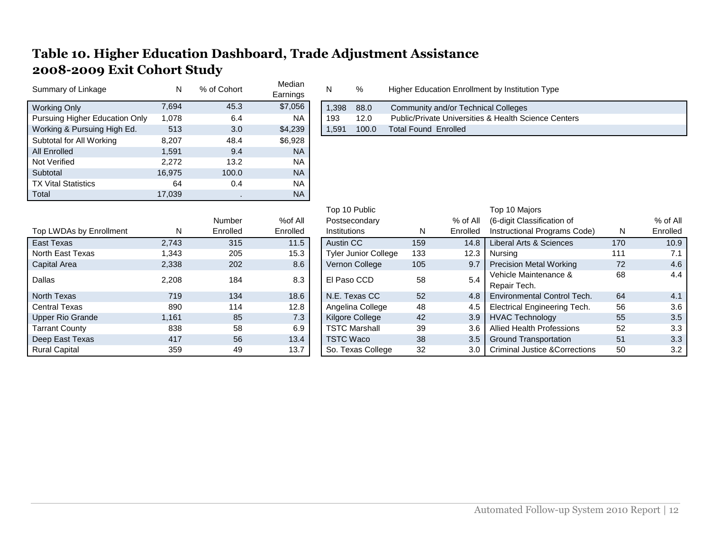# **Table 10. Higher Education Dashboard, Trade Adjustment Assistance 2008-2009 Exit Cohort Study**

| Summary of Linkage             | N      | % of Cohort | Median<br>Earnings | N                | %                           | Higher Education Enrollment by Institution Type |          |                                                                 |     |          |
|--------------------------------|--------|-------------|--------------------|------------------|-----------------------------|-------------------------------------------------|----------|-----------------------------------------------------------------|-----|----------|
| <b>Working Only</b>            | 7,694  | 45.3        | \$7,056            | 1,398            | 88.0                        | Community and/or Technical Colleges             |          |                                                                 |     |          |
| Pursuing Higher Education Only | 1,078  | 6.4         | <b>NA</b>          | 193              | 12.0                        |                                                 |          | <b>Public/Private Universities &amp; Health Science Centers</b> |     |          |
| Working & Pursuing High Ed.    | 513    | 3.0         | \$4,239            | 1,591            | 100.0                       | <b>Total Found Enrolled</b>                     |          |                                                                 |     |          |
| Subtotal for All Working       | 8,207  | 48.4        | \$6,928            |                  |                             |                                                 |          |                                                                 |     |          |
| All Enrolled                   | 1,591  | 9.4         | <b>NA</b>          |                  |                             |                                                 |          |                                                                 |     |          |
| Not Verified                   | 2,272  | 13.2        | <b>NA</b>          |                  |                             |                                                 |          |                                                                 |     |          |
| Subtotal                       | 16,975 | 100.0       | <b>NA</b>          |                  |                             |                                                 |          |                                                                 |     |          |
| <b>TX Vital Statistics</b>     | 64     | 0.4         | <b>NA</b>          |                  |                             |                                                 |          |                                                                 |     |          |
| Total                          | 17,039 |             | <b>NA</b>          |                  |                             |                                                 |          |                                                                 |     |          |
|                                |        |             |                    | Top 10 Public    |                             |                                                 |          | Top 10 Majors                                                   |     |          |
|                                |        | Number      | %of All            |                  | Postsecondary               |                                                 | % of All | (6-digit Classification of                                      |     | % of All |
| Top LWDAs by Enrollment        | N      | Enrolled    | Enrolled           | Institutions     |                             | N                                               | Enrolled | Instructional Programs Code)                                    | N   | Enrolled |
| East Texas                     | 2,743  | 315         | $11.5$             | Austin CC        |                             | 159                                             | 14.8     | Liberal Arts & Sciences                                         | 170 | 10.9     |
| North East Texas               | 1,343  | 205         | 15.3               |                  | <b>Tyler Junior College</b> | 133                                             | 12.3     | <b>Nursing</b>                                                  | 111 | 7.1      |
| Capital Area                   | 2,338  | 202         | 8.6                |                  | Vernon College              | 105                                             | 9.7      | <b>Precision Metal Working</b>                                  | 72  | 4.6      |
| Dallas                         | 2,208  | 184         | 8.3                | El Paso CCD      |                             | 58                                              | 5.4      | Vehicle Maintenance &                                           | 68  | 4.4      |
|                                |        |             |                    |                  |                             |                                                 |          | Repair Tech.                                                    |     |          |
| North Texas                    | 719    | 134         | 18.6               |                  | N.E. Texas CC               | 52                                              | 4.8      | <b>Environmental Control Tech.</b>                              | 64  | 4.1      |
| <b>Central Texas</b>           | 890    | 114         | 12.8               |                  | Angelina College            | 48                                              | 4.5      | Electrical Engineering Tech.                                    | 56  | 3.6      |
| Upper Rio Grande               | 1,161  | 85          | 7.3                |                  | Kilgore College             | 42                                              | 3.9      | <b>HVAC Technology</b>                                          | 55  | 3.5      |
| <b>Tarrant County</b>          | 838    | 58          | 6.9                |                  | <b>TSTC Marshall</b>        | 39                                              | 3.6      | <b>Allied Health Professions</b>                                | 52  | 3.3      |
| Deep East Texas                | 417    | 56          | 13.4               | <b>TSTC Waco</b> |                             | 38                                              | 3.5      | <b>Ground Transportation</b>                                    | 51  | 3.3      |
| <b>Rural Capital</b>           | 359    | 49          | 13.7               |                  | So. Texas College           | 32                                              | 3.0      | <b>Criminal Justice &amp; Corrections</b>                       | 50  | 3.2      |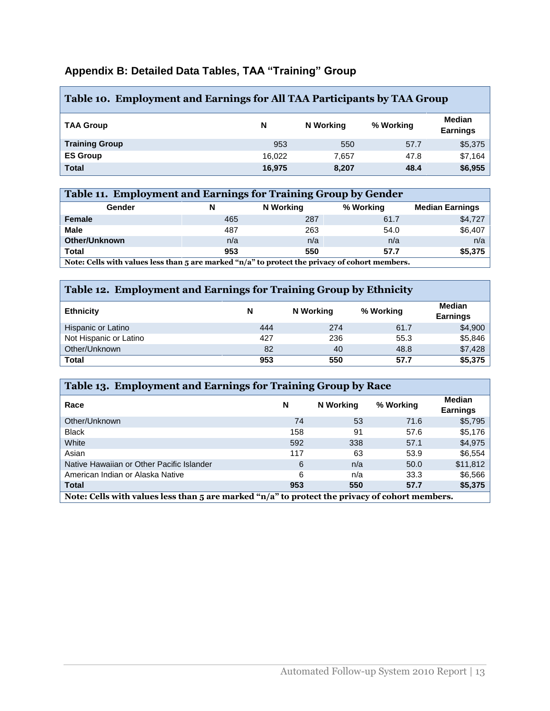## **Appendix B: Detailed Data Tables, TAA "Training" Group**

| Table 10. Employment and Earnings for All TAA Participants by TAA Group |        |           |           |                           |  |  |
|-------------------------------------------------------------------------|--------|-----------|-----------|---------------------------|--|--|
| <b>TAA Group</b>                                                        | N      | N Working | % Working | Median<br><b>Earnings</b> |  |  |
| <b>Training Group</b>                                                   | 953    | 550       | 57.7      | \$5,375                   |  |  |
| <b>ES Group</b>                                                         | 16.022 | 7.657     | 47.8      | \$7,164                   |  |  |
| <b>Total</b>                                                            | 16,975 | 8,207     | 48.4      | \$6,955                   |  |  |

| Table 11. Employment and Earnings for Training Group by Gender                                              |     |           |           |                        |  |  |  |
|-------------------------------------------------------------------------------------------------------------|-----|-----------|-----------|------------------------|--|--|--|
| Gender                                                                                                      | N   | N Working | % Working | <b>Median Earnings</b> |  |  |  |
| Female                                                                                                      | 465 | 287       | 61.7      | \$4,727                |  |  |  |
| <b>Male</b>                                                                                                 | 487 | 263       | 54.0      | \$6,407                |  |  |  |
| <b>Other/Unknown</b>                                                                                        | n/a | n/a       | n/a       | n/a                    |  |  |  |
| <b>Total</b>                                                                                                | 953 | 550       | 57.7      | \$5,375                |  |  |  |
| Note: Cells with values less than $\overline{5}$ are marked "n/a" to protect the privacy of cohort members. |     |           |           |                        |  |  |  |

**Note: Cells with values less than 5 are marked "n/a" to protect the privacy of cohort members.**

#### **Table 12. Employment and Earnings for Training Group by Ethnicity**

| <b>Ethnicity</b>       | N   | N Working | % Working | <b>Median</b><br><b>Earnings</b> |
|------------------------|-----|-----------|-----------|----------------------------------|
| Hispanic or Latino     | 444 | 274       | 61.7      | \$4,900                          |
| Not Hispanic or Latino | 427 | 236       | 55.3      | \$5,846                          |
| Other/Unknown          | 82  | 40        | 48.8      | \$7,428                          |
| <b>Total</b>           | 953 | 550       | 57.7      | \$5,375                          |

| Table 13. Employment and Earnings for Training Group by Race                                       |     |           |           |                           |  |
|----------------------------------------------------------------------------------------------------|-----|-----------|-----------|---------------------------|--|
| Race                                                                                               | N   | N Working | % Working | Median<br><b>Earnings</b> |  |
| Other/Unknown                                                                                      | 74  | 53        | 71.6      | \$5,795                   |  |
| <b>Black</b>                                                                                       | 158 | 91        | 57.6      | \$5,176                   |  |
| White                                                                                              | 592 | 338       | 57.1      | \$4,975                   |  |
| Asian                                                                                              | 117 | 63        | 53.9      | \$6,554                   |  |
| Native Hawaiian or Other Pacific Islander                                                          | 6   | n/a       | 50.0      | \$11,812                  |  |
| American Indian or Alaska Native                                                                   | 6   | n/a       | 33.3      | \$6,566                   |  |
| <b>Total</b>                                                                                       | 953 | 550       | 57.7      | \$5,375                   |  |
| Note: Cells with values less than 5 are marked " $n/a$ " to protect the privacy of cohort members. |     |           |           |                           |  |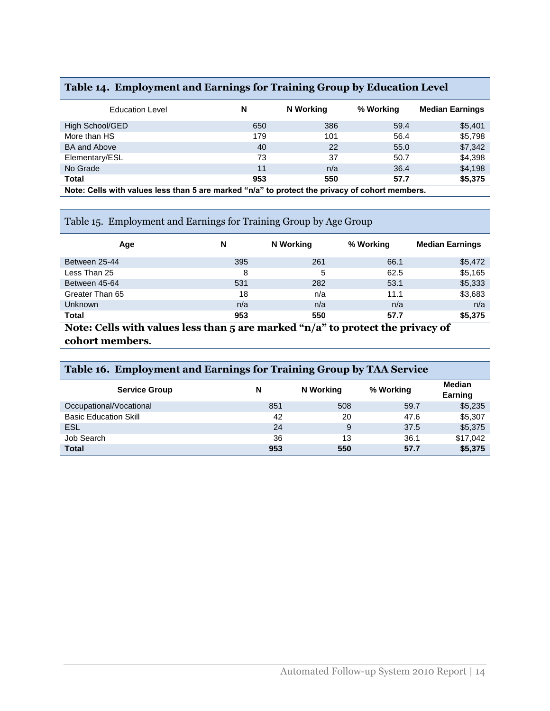# **Table 14. Employment and Earnings for Training Group by Education Level**

| <b>Education Level</b>                                                                         | N   | N Working | % Working | <b>Median Earnings</b> |  |
|------------------------------------------------------------------------------------------------|-----|-----------|-----------|------------------------|--|
| High School/GED                                                                                | 650 | 386       | 59.4      | \$5,401                |  |
| More than HS                                                                                   | 179 | 101       | 56.4      | \$5,798                |  |
| <b>BA and Above</b>                                                                            | 40  | 22        | 55.0      | \$7,342                |  |
| Elementary/ESL                                                                                 | 73  | 37        | 50.7      | \$4,398                |  |
| No Grade                                                                                       | 11  | n/a       | 36.4      | \$4,198                |  |
| <b>Total</b>                                                                                   | 953 | 550       | 57.7      | \$5,375                |  |
| Note: Cells with values less than 5 are marked "n/a" to protect the privacy of cohort members. |     |           |           |                        |  |

| Table 15. Employment and Earnings for Training Group by Age Group                                     |     |                  |           |                        |  |  |
|-------------------------------------------------------------------------------------------------------|-----|------------------|-----------|------------------------|--|--|
| Age                                                                                                   | N   | <b>N</b> Working | % Working | <b>Median Earnings</b> |  |  |
| Between 25-44                                                                                         | 395 | 261              | 66.1      | \$5,472                |  |  |
| Less Than 25                                                                                          | 8   | 5                | 62.5      | \$5,165                |  |  |
| Between 45-64                                                                                         | 531 | 282              | 53.1      | \$5,333                |  |  |
| Greater Than 65                                                                                       | 18  | n/a              | 11.1      | \$3,683                |  |  |
| Unknown                                                                                               | n/a | n/a              | n/a       | n/a                    |  |  |
| Total                                                                                                 | 953 | 550              | 57.7      | \$5,375                |  |  |
| Note: Cells with values less than 5 are marked " $n/a$ " to protect the privacy of<br>cohort members. |     |                  |           |                        |  |  |

| Table 16. Employment and Earnings for Training Group by TAA Service |                                                  |     |      |          |  |  |
|---------------------------------------------------------------------|--------------------------------------------------|-----|------|----------|--|--|
| <b>Service Group</b>                                                | Median<br>N<br>% Working<br>N Working<br>Earning |     |      |          |  |  |
| Occupational/Vocational                                             | 851                                              | 508 | 59.7 | \$5,235  |  |  |
| <b>Basic Education Skill</b>                                        | 42                                               | 20  | 47.6 | \$5,307  |  |  |
| ESL                                                                 | 24                                               | 9   | 37.5 | \$5,375  |  |  |
| Job Search                                                          | 36                                               | 13  | 36.1 | \$17,042 |  |  |
| <b>Total</b>                                                        | 953                                              | 550 | 57.7 | \$5,375  |  |  |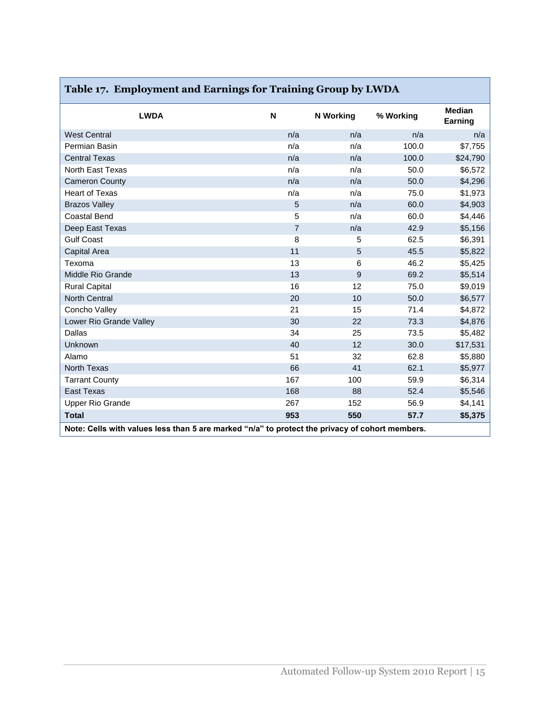| <b>LWDA</b>                                                                                    | $\mathsf N$    | <b>N</b> Working | % Working | <b>Median</b><br>Earning |  |
|------------------------------------------------------------------------------------------------|----------------|------------------|-----------|--------------------------|--|
| <b>West Central</b>                                                                            | n/a            | n/a              | n/a       | n/a                      |  |
| Permian Basin                                                                                  | n/a            | n/a              | 100.0     | \$7,755                  |  |
| <b>Central Texas</b>                                                                           | n/a            | n/a              | 100.0     | \$24,790                 |  |
| North East Texas                                                                               | n/a            | n/a              | 50.0      | \$6,572                  |  |
| <b>Cameron County</b>                                                                          | n/a            | n/a              | 50.0      | \$4,296                  |  |
| <b>Heart of Texas</b>                                                                          | n/a            | n/a              | 75.0      | \$1,973                  |  |
| <b>Brazos Valley</b>                                                                           | 5              | n/a              | 60.0      | \$4,903                  |  |
| <b>Coastal Bend</b>                                                                            | 5              | n/a              | 60.0      | \$4,446                  |  |
| Deep East Texas                                                                                | $\overline{7}$ | n/a              | 42.9      | \$5,156                  |  |
| <b>Gulf Coast</b>                                                                              | 8              | 5                | 62.5      | \$6,391                  |  |
| Capital Area                                                                                   | 11             | 5                | 45.5      | \$5,822                  |  |
| Texoma                                                                                         | 13             | 6                | 46.2      | \$5,425                  |  |
| Middle Rio Grande                                                                              | 13             | 9                | 69.2      | \$5,514                  |  |
| <b>Rural Capital</b>                                                                           | 16             | 12               | 75.0      | \$9,019                  |  |
| <b>North Central</b>                                                                           | 20             | 10               | 50.0      | \$6,577                  |  |
| Concho Valley                                                                                  | 21             | 15               | 71.4      | \$4,872                  |  |
| Lower Rio Grande Valley                                                                        | 30             | 22               | 73.3      | \$4,876                  |  |
| Dallas                                                                                         | 34             | 25               | 73.5      | \$5,482                  |  |
| Unknown                                                                                        | 40             | 12               | 30.0      | \$17,531                 |  |
| Alamo                                                                                          | 51             | 32               | 62.8      | \$5,880                  |  |
| <b>North Texas</b>                                                                             | 66             | 41               | 62.1      | \$5,977                  |  |
| <b>Tarrant County</b>                                                                          | 167            | 100              | 59.9      | \$6,314                  |  |
| East Texas                                                                                     | 168            | 88               | 52.4      | \$5,546                  |  |
| <b>Upper Rio Grande</b>                                                                        | 267            | 152              | 56.9      | \$4,141                  |  |
| <b>Total</b>                                                                                   | 953            | 550              | 57.7      | \$5,375                  |  |
| Note: Cells with values less than 5 are marked "n/a" to protect the privacy of cohort members. |                |                  |           |                          |  |

# **Table 17. Employment and Earnings for Training Group by LWDA**